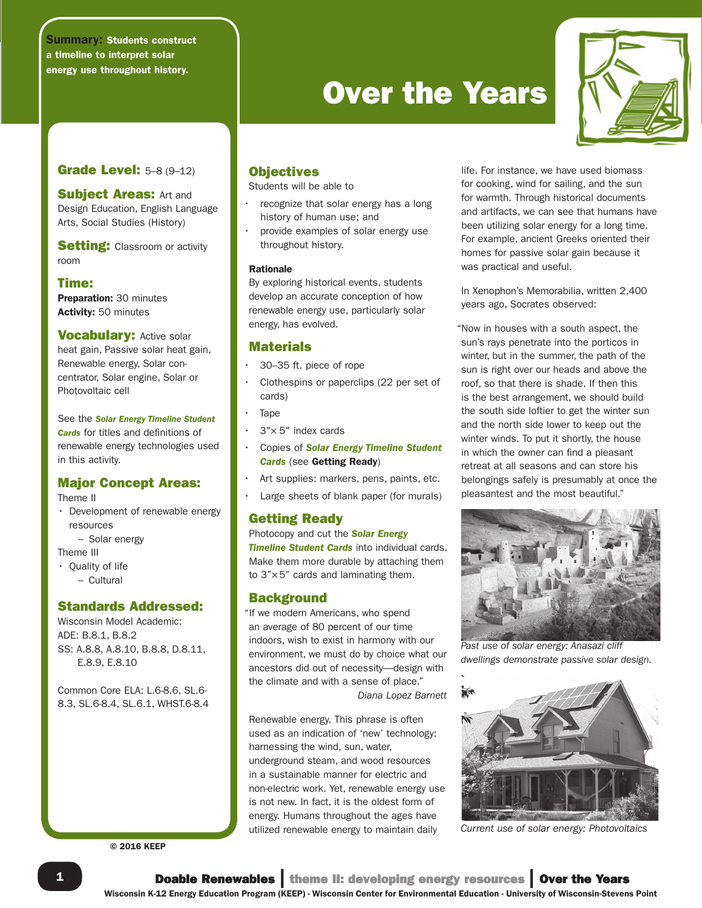## Summary: Students construct a timeline to interpret solar energy use throughout history.

# **Over the Years**



# **Grade Level: 5-8 (9-12)**

**Subject Areas: Art and** Design Education, English Language Arts, Social Studies (History)

**Setting:** Classroom or activity room

## Time:

Preparation: 30 minutes Activity: 50 minutes

**Vocabulary: Active solar** heat gain, Passive solar heat gain, Renewable energy, Solar concentrator, Solar engine, Solar or Photovoltaic cell

See the *Solar Energy Timeline Student Cards* for titles and definitions of renewable energy technologies used in this activity.

# Major Concept Areas:

Theme II

- Development of renewable energy resources
	- Solar energy

Theme III

• Quality of life

– Cultural

# Standards Addressed:

Wisconsin Model Academic: ADE: B.8.1, B.8.2 SS: A.8.8, A.8.10, B.8.8, D.8.11, E.8.9, E.8.10

Common Core ELA: L.6-8.6, SL.6- 8.3, SL.6-8.4, SL.6.1, WHST.6-8.4

© 2016 KEEP

# **Objectives**

Students will be able to

- recognize that solar energy has a long history of human use; and
- provide examples of solar energy use throughout history.

#### Rationale

By exploring historical events, students develop an accurate conception of how renewable energy use, particularly solar energy, has evolved.

# **Materials**

- 30–35 ft. piece of rope
- Clothespins or paperclips (22 per set of cards)
- Tape
- $3" \times 5"$  index cards
- Copies of *Solar Energy Timeline Student Cards* (see Getting Ready)
- Art supplies: markers, pens, paints, etc.
- Large sheets of blank paper (for murals)

## Getting Ready

Photocopy and cut the *Solar Energy*  **Timeline Student Cards** into individual cards. Make them more durable by attaching them to 3"×5" cards and laminating them.

## **Background**

"If we modern Americans, who spend an average of 80 percent of our time indoors, wish to exist in harmony with our environment, we must do by choice what our ancestors did out of necessity—design with the climate and with a sense of place." *Diana Lopez Barnett*

Renewable energy. This phrase is often used as an indication of 'new' technology: harnessing the wind, sun, water, underground steam, and wood resources in a sustainable manner for electric and non-electric work. Yet, renewable energy use is not new. In fact, it is the oldest form of energy. Humans throughout the ages have utilized renewable energy to maintain daily

life. For instance, we have used biomass for cooking, wind for sailing, and the sun for warmth. Through historical documents and artifacts, we can see that humans have been utilizing solar energy for a long time. For example, ancient Greeks oriented their homes for passive solar gain because it was practical and useful.

In Xenophon's Memorabilia, written 2,400 years ago, Socrates observed:

"Now in houses with a south aspect, the sun's rays penetrate into the porticos in winter, but in the summer, the path of the sun is right over our heads and above the roof, so that there is shade. If then this is the best arrangement, we should build the south side loftier to get the winter sun and the north side lower to keep out the winter winds. To put it shortly, the house in which the owner can find a pleasant retreat at all seasons and can store his belongings safely is presumably at once the pleasantest and the most beautiful."



*Past use of solar energy: Anasazi cliff dwellings demonstrate passive solar design.*



*Current use of solar energy: Photovoltaics*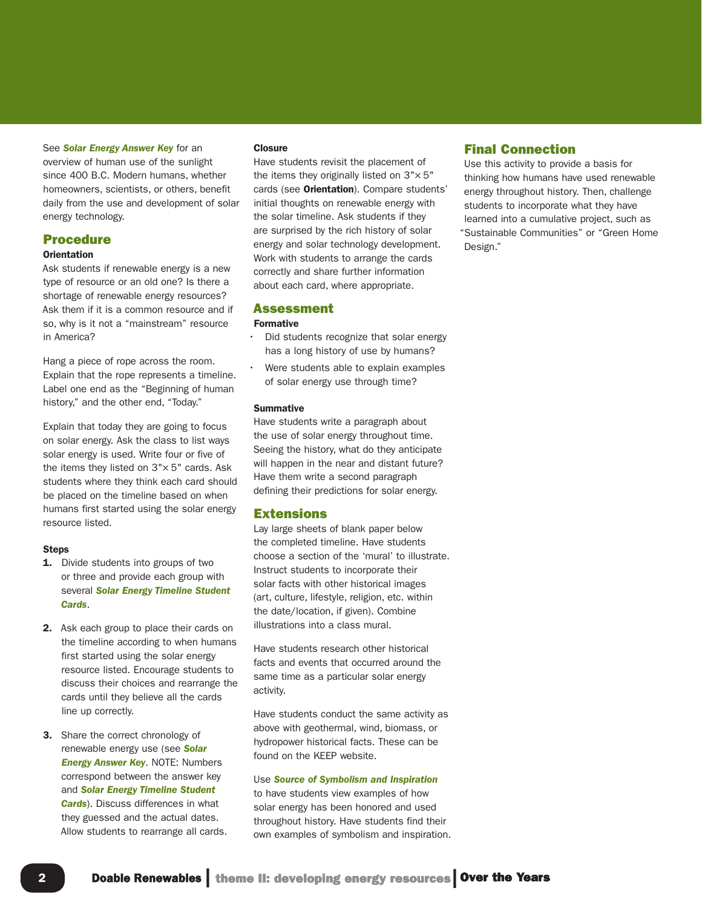#### See *Solar Energy Answer Key* for an

overview of human use of the sunlight since 400 B.C. Modern humans, whether homeowners, scientists, or others, benefit daily from the use and development of solar energy technology.

### Procedure

#### **Orientation**

Ask students if renewable energy is a new type of resource or an old one? Is there a shortage of renewable energy resources? Ask them if it is a common resource and if so, why is it not a "mainstream" resource in America?

Hang a piece of rope across the room. Explain that the rope represents a timeline. Label one end as the "Beginning of human history," and the other end, "Today."

Explain that today they are going to focus on solar energy. Ask the class to list ways solar energy is used. Write four or five of the items they listed on  $3" \times 5"$  cards. Ask students where they think each card should be placed on the timeline based on when humans first started using the solar energy resource listed.

#### **Steps**

- **1.** Divide students into groups of two or three and provide each group with several *Solar Energy Timeline Student Cards*.
- 2. Ask each group to place their cards on the timeline according to when humans first started using the solar energy resource listed. Encourage students to discuss their choices and rearrange the cards until they believe all the cards line up correctly.
- **3.** Share the correct chronology of renewable energy use (see *Solar Energy Answer Key*. NOTE: Numbers correspond between the answer key and *Solar Energy Timeline Student Cards*). Discuss differences in what they guessed and the actual dates. Allow students to rearrange all cards.

#### **Closure**

Have students revisit the placement of the items they originally listed on  $3" \times 5"$ cards (see Orientation). Compare students' initial thoughts on renewable energy with the solar timeline. Ask students if they are surprised by the rich history of solar energy and solar technology development. Work with students to arrange the cards correctly and share further information about each card, where appropriate.

#### Assessment

#### Formative

- Did students recognize that solar energy has a long history of use by humans?
- Were students able to explain examples of solar energy use through time?

#### **Summative**

Have students write a paragraph about the use of solar energy throughout time. Seeing the history, what do they anticipate will happen in the near and distant future? Have them write a second paragraph defining their predictions for solar energy.

#### Extensions

Lay large sheets of blank paper below the completed timeline. Have students choose a section of the 'mural' to illustrate. Instruct students to incorporate their solar facts with other historical images (art, culture, lifestyle, religion, etc. within the date/location, if given). Combine illustrations into a class mural.

Have students research other historical facts and events that occurred around the same time as a particular solar energy activity.

Have students conduct the same activity as above with geothermal, wind, biomass, or hydropower historical facts. These can be found on the KEEP website.

#### Use *Source of Symbolism and Inspiration* to have students view examples of how

solar energy has been honored and used throughout history. Have students find their own examples of symbolism and inspiration.

#### Final Connection

Use this activity to provide a basis for thinking how humans have used renewable energy throughout history. Then, challenge students to incorporate what they have learned into a cumulative project, such as "Sustainable Communities" or "Green Home Design."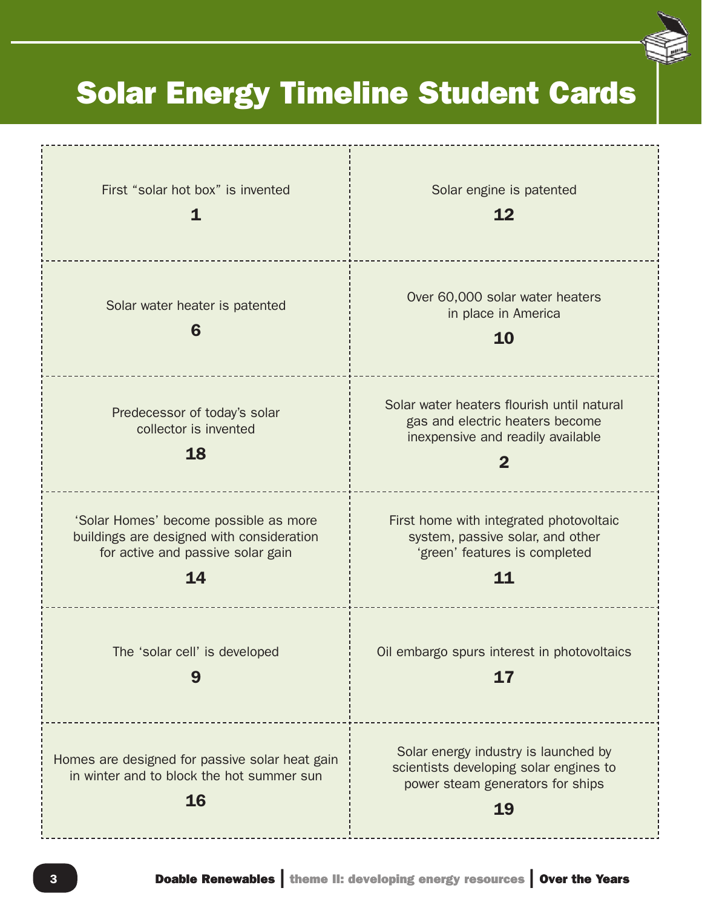# Solar Energy Timeline Student Cards

| First "solar hot box" is invented                                                                                             | Solar engine is patented<br>12                                                                                                    |
|-------------------------------------------------------------------------------------------------------------------------------|-----------------------------------------------------------------------------------------------------------------------------------|
| Solar water heater is patented<br>6                                                                                           | Over 60,000 solar water heaters<br>in place in America<br>10                                                                      |
| Predecessor of today's solar<br>collector is invented<br>18                                                                   | Solar water heaters flourish until natural<br>gas and electric heaters become<br>inexpensive and readily available<br>$\mathbf 2$ |
| 'Solar Homes' become possible as more<br>buildings are designed with consideration<br>for active and passive solar gain<br>14 | First home with integrated photovoltaic<br>system, passive solar, and other<br>'green' features is completed<br>11                |
| The 'solar cell' is developed<br>9                                                                                            | Oil embargo spurs interest in photovoltaics<br>17                                                                                 |
| Homes are designed for passive solar heat gain<br>in winter and to block the hot summer sun<br>16                             | Solar energy industry is launched by<br>scientists developing solar engines to<br>power steam generators for ships<br>19          |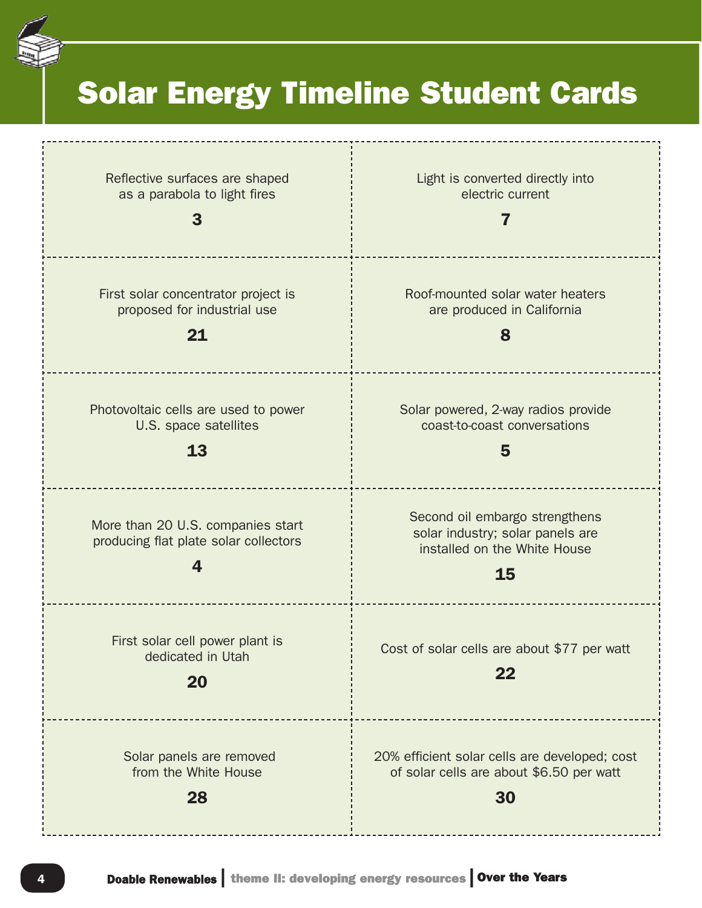

# Solar Energy Timeline Student Cards

| Reflective surfaces are shaped<br>as a parabola to light fires             | Light is converted directly into<br>electric current<br>7                                                |
|----------------------------------------------------------------------------|----------------------------------------------------------------------------------------------------------|
| First solar concentrator project is                                        | Roof-mounted solar water heaters                                                                         |
| proposed for industrial use                                                | are produced in California                                                                               |
| 21                                                                         | 8                                                                                                        |
| Photovoltaic cells are used to power                                       | Solar powered, 2-way radios provide                                                                      |
| U.S. space satellites                                                      | coast-to-coast conversations                                                                             |
| 13                                                                         | 5                                                                                                        |
| More than 20 U.S. companies start<br>producing flat plate solar collectors | Second oil embargo strengthens<br>solar industry; solar panels are<br>installed on the White House<br>15 |
| First solar cell power plant is<br>dedicated in Utah<br>20                 | Cost of solar cells are about \$77 per watt<br>22                                                        |
| Solar panels are removed                                                   | 20% efficient solar cells are developed; cost                                                            |
| from the White House                                                       | of solar cells are about \$6.50 per watt                                                                 |
| 28                                                                         | 30                                                                                                       |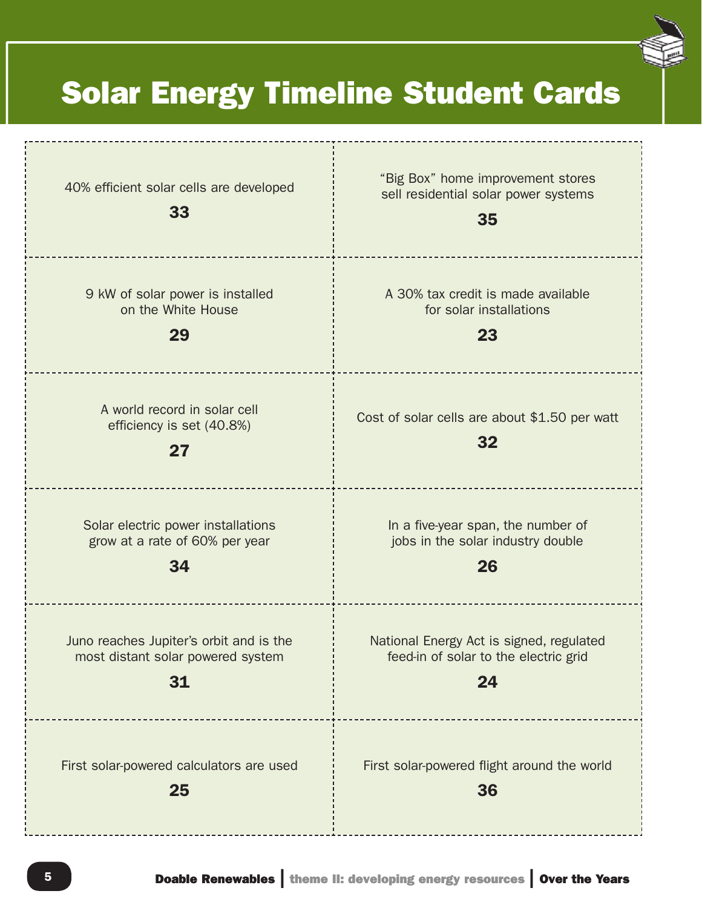# Solar Energy Timeline Student Cards

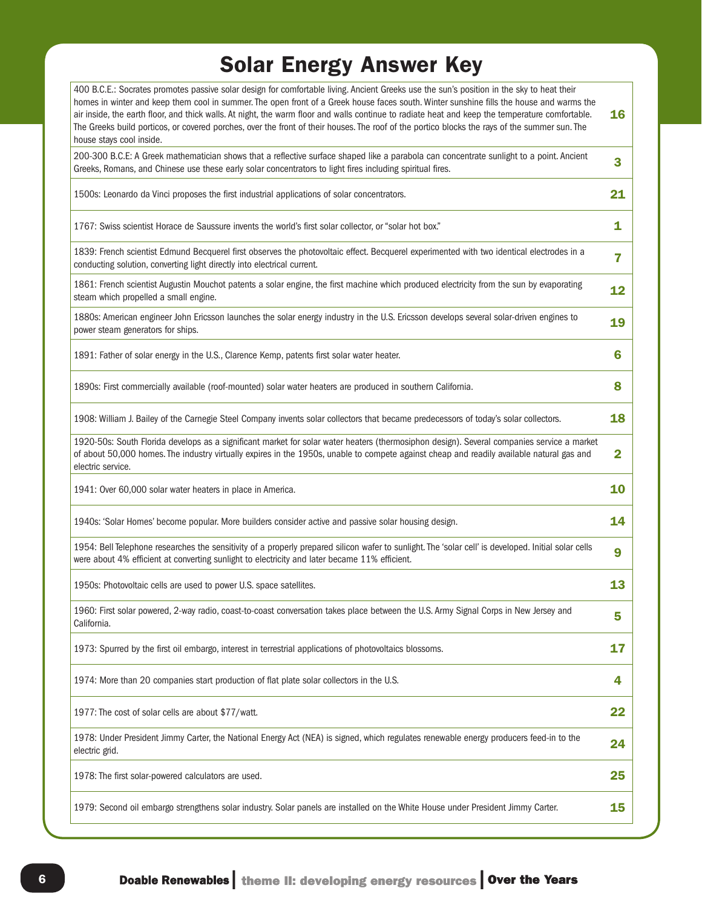# Solar Energy Answer Key

| 400 B.C.E.: Socrates promotes passive solar design for comfortable living. Ancient Greeks use the sun's position in the sky to heat their<br>homes in winter and keep them cool in summer. The open front of a Greek house faces south. Winter sunshine fills the house and warms the<br>air inside, the earth floor, and thick walls. At night, the warm floor and walls continue to radiate heat and keep the temperature comfortable.<br>The Greeks build porticos, or covered porches, over the front of their houses. The roof of the portico blocks the rays of the summer sun. The<br>house stays cool inside. | 16             |
|-----------------------------------------------------------------------------------------------------------------------------------------------------------------------------------------------------------------------------------------------------------------------------------------------------------------------------------------------------------------------------------------------------------------------------------------------------------------------------------------------------------------------------------------------------------------------------------------------------------------------|----------------|
| 200-300 B.C.E: A Greek mathematician shows that a reflective surface shaped like a parabola can concentrate sunlight to a point. Ancient<br>Greeks, Romans, and Chinese use these early solar concentrators to light fires including spiritual fires.                                                                                                                                                                                                                                                                                                                                                                 | 3              |
| 1500s: Leonardo da Vinci proposes the first industrial applications of solar concentrators.                                                                                                                                                                                                                                                                                                                                                                                                                                                                                                                           | 21             |
| 1767: Swiss scientist Horace de Saussure invents the world's first solar collector, or "solar hot box."                                                                                                                                                                                                                                                                                                                                                                                                                                                                                                               | 1              |
| 1839: French scientist Edmund Becquerel first observes the photovoltaic effect. Becquerel experimented with two identical electrodes in a<br>conducting solution, converting light directly into electrical current.                                                                                                                                                                                                                                                                                                                                                                                                  | 7              |
| 1861: French scientist Augustin Mouchot patents a solar engine, the first machine which produced electricity from the sun by evaporating<br>steam which propelled a small engine.                                                                                                                                                                                                                                                                                                                                                                                                                                     | 12             |
| 1880s: American engineer John Ericsson launches the solar energy industry in the U.S. Ericsson develops several solar-driven engines to<br>power steam generators for ships.                                                                                                                                                                                                                                                                                                                                                                                                                                          | 19             |
| 1891: Father of solar energy in the U.S., Clarence Kemp, patents first solar water heater.                                                                                                                                                                                                                                                                                                                                                                                                                                                                                                                            | 6              |
| 1890s: First commercially available (roof-mounted) solar water heaters are produced in southern California.                                                                                                                                                                                                                                                                                                                                                                                                                                                                                                           | 8              |
| 1908: William J. Bailey of the Carnegie Steel Company invents solar collectors that became predecessors of today's solar collectors.                                                                                                                                                                                                                                                                                                                                                                                                                                                                                  | 18             |
| 1920-50s: South Florida develops as a significant market for solar water heaters (thermosiphon design). Several companies service a market<br>of about 50,000 homes. The industry virtually expires in the 1950s, unable to compete against cheap and readily available natural gas and<br>electric service.                                                                                                                                                                                                                                                                                                          | $\overline{2}$ |
| 1941: Over 60,000 solar water heaters in place in America.                                                                                                                                                                                                                                                                                                                                                                                                                                                                                                                                                            | 10             |
| 1940s: 'Solar Homes' become popular. More builders consider active and passive solar housing design.                                                                                                                                                                                                                                                                                                                                                                                                                                                                                                                  | 14             |
| 1954: Bell Telephone researches the sensitivity of a properly prepared silicon wafer to sunlight. The 'solar cell' is developed. Initial solar cells<br>were about 4% efficient at converting sunlight to electricity and later became 11% efficient.                                                                                                                                                                                                                                                                                                                                                                 | 9              |
| 1950s: Photovoltaic cells are used to power U.S. space satellites.                                                                                                                                                                                                                                                                                                                                                                                                                                                                                                                                                    | 13             |
| 1960: First solar powered, 2-way radio, coast-to-coast conversation takes place between the U.S. Army Signal Corps in New Jersey and<br>California.                                                                                                                                                                                                                                                                                                                                                                                                                                                                   | 5              |
| 1973: Spurred by the first oil embargo, interest in terrestrial applications of photovoltaics blossoms.                                                                                                                                                                                                                                                                                                                                                                                                                                                                                                               | 17             |
| 1974: More than 20 companies start production of flat plate solar collectors in the U.S.                                                                                                                                                                                                                                                                                                                                                                                                                                                                                                                              | 4              |
| 1977: The cost of solar cells are about \$77/watt.                                                                                                                                                                                                                                                                                                                                                                                                                                                                                                                                                                    | 22             |
| 1978: Under President Jimmy Carter, the National Energy Act (NEA) is signed, which regulates renewable energy producers feed-in to the<br>electric grid.                                                                                                                                                                                                                                                                                                                                                                                                                                                              | 24             |
| 1978: The first solar-powered calculators are used.                                                                                                                                                                                                                                                                                                                                                                                                                                                                                                                                                                   | 25             |
| 1979: Second oil embargo strengthens solar industry. Solar panels are installed on the White House under President Jimmy Carter.                                                                                                                                                                                                                                                                                                                                                                                                                                                                                      | 15             |